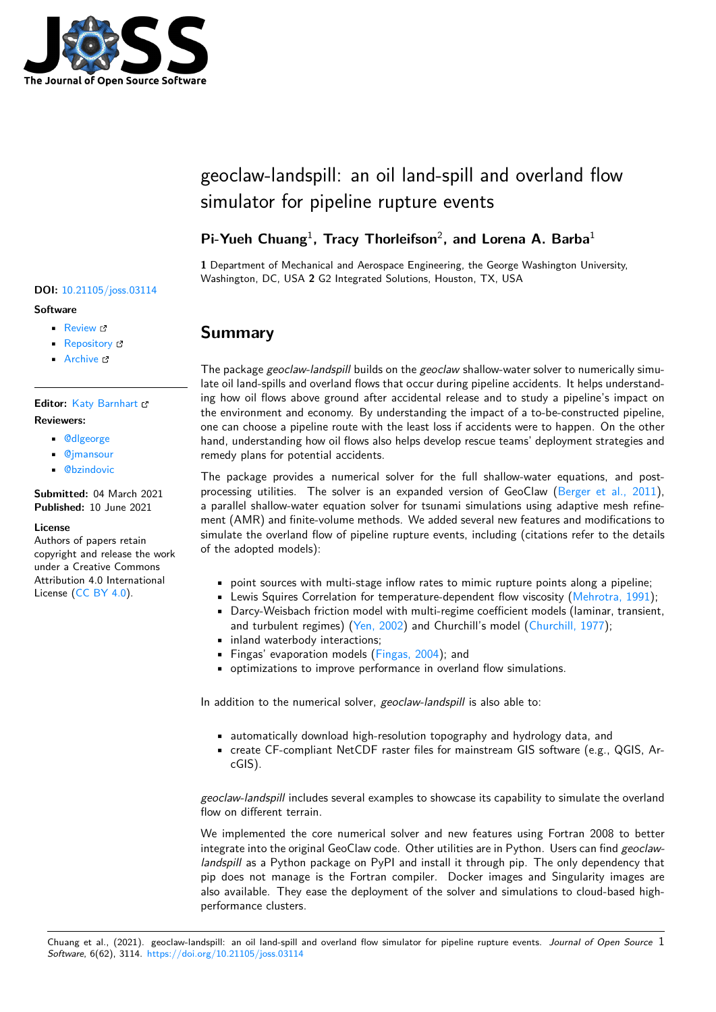

# geoclaw-landspill: an oil land-spill and overland flow simulator for pipeline rupture events

### Pi-Yueh Chuang<sup>1</sup>, Tracy Thorleifson<sup>2</sup>, and Lorena A. Barba<sup>1</sup>

**1** Department of Mechanical and Aerospace Engineering, the George Washington University, Washington, DC, USA **2** G2 Integrated Solutions, Houston, TX, USA

# **Summary**

The package *geoclaw-landspill* builds on the *geoclaw* shallow-water solver to numerically simulate oil land-spills and overland flows that occur during pipeline accidents. It helps understanding how oil flows above ground after accidental release and to study a pipeline's impact on the environment and economy. By understanding the impact of a to-be-constructed pipeline, one can choose a pipeline route with the least loss if accidents were to happen. On the other hand, understanding how oil flows also helps develop rescue teams' deployment strategies and remedy plans for potential accidents.

The package provides a numerical solver for the full shallow-water equations, and postprocessing utilities. The solver is an expanded version of GeoClaw (Berger et al., 2011), a parallel shallow-water equation solver for tsunami simulations using adaptive mesh refinement (AMR) and finite-volume methods. We added several new features and modifications to simulate the overland flow of pipeline rupture events, including (citations refer to the details of the adopted models):

- point sources with multi-stage inflow rates to mimic rupture points along a pipeline;
- Lewis Squires Correlation for temperature-dependent flow viscosity (Mehrotra, 1991);
- Darcy-Weisbach friction model with multi-regime coefficient models (laminar, transient, and turbulent regimes) (Yen, 2002) and Churchill's model (Churchill, 1977);
- inland waterbody interactions;
- Fingas' evaporation models (Fingas, 2004); and
- optimizations to improve performance in overland flow simulations.

In addition to the numerical solver, *[geoclaw-land](#page-2-0)spill* is also able to:

- automatically download high-resolution topography and hydrology data, and
- create CF-compliant NetCDF raster files for mainstream GIS software (e.g., QGIS, ArcGIS).

*geoclaw-landspill* includes several examples to showcase its capability to simulate the overland flow on different terrain.

We implemented the core numerical solver and new features using Fortran 2008 to better integrate into the original GeoClaw code. Other utilities are in Python. Users can find *geoclawlandspill* as a Python package on PyPI and install it through pip. The only dependency that pip does not manage is the Fortran compiler. Docker images and Singularity images are also available. They ease the deployment of the solver and simulations to cloud-based highperformance clusters.

### **DOI:** 10.21105/joss.03114

#### **Software**

- Review &
- [Repository](https://doi.org/10.21105/joss.03114) &
- Archive

### **Editor: [Katy Bar](https://github.com/barbagroup/geoclaw-landspill)nhart &**

#### **Revie[wers:](https://doi.org/10.5281/zenodo.4914798)**

- @dlgeorge
- @jmansour
- **@[bzindovic](https://github.com/kbarnhart)**

**Subm[itted:](https://github.com/dlgeorge)** 04 March 2021 **Published:** [10 Ju](https://github.com/jmansour)ne 2021

#### **Licen[se](https://github.com/bzindovic)**

Authors of papers retain copyright and release the work under a Creative Commons Attribution 4.0 International License (CC BY 4.0).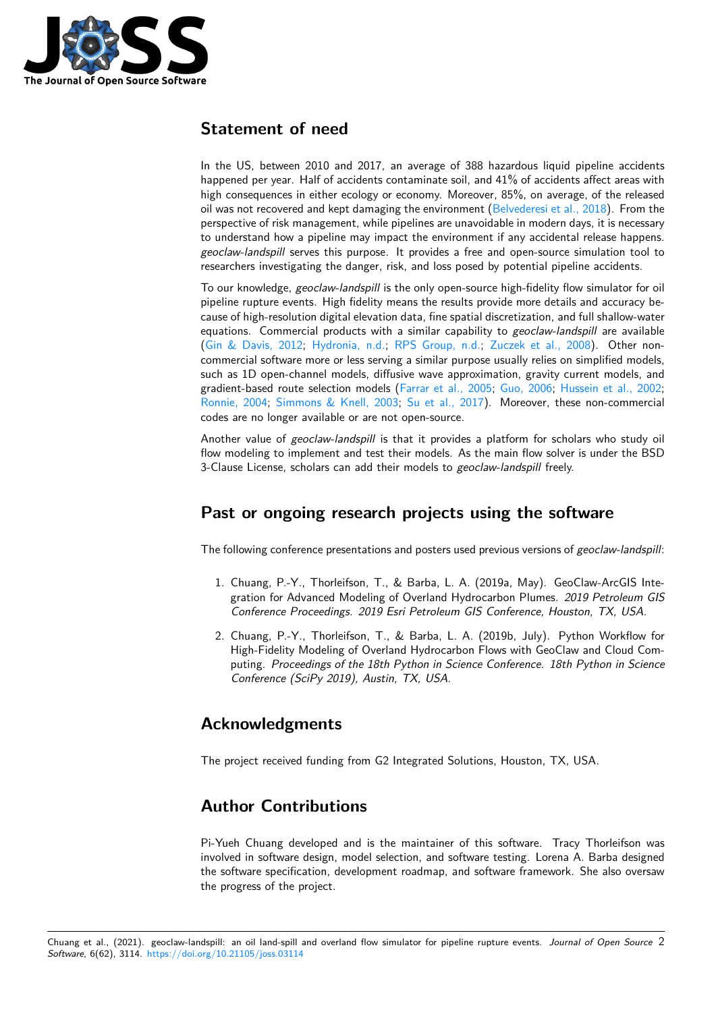

### **Statement of need**

In the US, between 2010 and 2017, an average of 388 hazardous liquid pipeline accidents happened per year. Half of accidents contaminate soil, and 41% of accidents affect areas with high consequences in either ecology or economy. Moreover, 85%, on average, of the released oil was not recovered and kept damaging the environment (Belvederesi et al., 2018). From the perspective of risk management, while pipelines are unavoidable in modern days, it is necessary to understand how a pipeline may impact the environment if any accidental release happens. *geoclaw-landspill* serves this purpose. It provides a free and open-source simulation tool to researchers investigating the danger, risk, and loss posed [by potential pipeline acc](#page-2-1)idents.

To our knowledge, *geoclaw-landspill* is the only open-source high-fidelity flow simulator for oil pipeline rupture events. High fidelity means the results provide more details and accuracy because of high-resolution digital elevation data, fine spatial discretization, and full shallow-water equations. Commercial products with a similar capability to *geoclaw-landspill* are available (Gin & Davis, 2012; Hydronia, n.d.; RPS Group, n.d.; Zuczek et al., 2008). Other noncommercial software more or less serving a similar purpose usually relies on simplified models, such as 1D open-channel models, diffusive wave approximation, gravity current models, and gradient-based route selection models (Farrar et al., 2005; Guo, 2006; Hussein et al., 2002; [Ronnie, 2004;](#page-2-2) Simmo[ns & Knell, 20](#page-2-3)03; [Su et al., 2017](#page-2-4))[. Moreover, these n](#page-2-5)on-commercial codes are no longer available or are not open-source.

Another value of *geoclaw-landspill* is that it provides a platform for scholars who study oil flow modeling to implement and test th[eir models. As the](#page-2-6) [main flow so](#page-2-7)l[ver is under the BSD](#page-2-8) [3-Clause Lice](#page-2-9)n[se, scholars can add their](#page-2-10) models to *geoclaw-landspill* freely.

### **Past or ongoing research projects using the software**

The following conference presentations and posters used previous versions of *geoclaw-landspill*:

- 1. Chuang, P.-Y., Thorleifson, T., & Barba, L. A. (2019a, May). GeoClaw-ArcGIS Integration for Advanced Modeling of Overland Hydrocarbon Plumes. *2019 Petroleum GIS Conference Proceedings. 2019 Esri Petroleum GIS Conference, Houston, TX, USA*.
- 2. Chuang, P.-Y., Thorleifson, T., & Barba, L. A. (2019b, July). Python Workflow for High-Fidelity Modeling of Overland Hydrocarbon Flows with GeoClaw and Cloud Computing. *Proceedings of the 18th Python in Science Conference. 18th Python in Science Conference (SciPy 2019), Austin, TX, USA*.

### **Acknowledgments**

The project received funding from G2 Integrated Solutions, Houston, TX, USA.

# **Author Contributions**

Pi-Yueh Chuang developed and is the maintainer of this software. Tracy Thorleifson was involved in software design, model selection, and software testing. Lorena A. Barba designed the software specification, development roadmap, and software framework. She also oversaw the progress of the project.